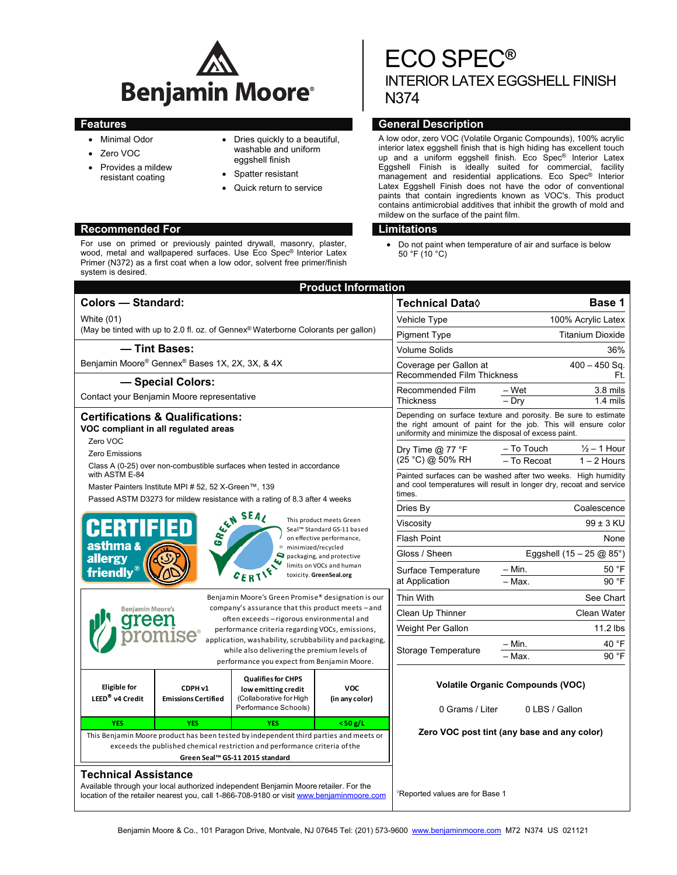

- Minimal Odor
- Zero VOC
- Provides a mildew resistant coating
- Dries quickly to a beautiful, washable and uniform eggshell finish
- Spatter resistant
- Quick return to service

# **Recommended For Limitations**

For use on primed or previously painted drywall, masonry, plaster, wood, metal and wallpapered surfaces. Use Eco Spec® Interior Latex Primer (N372) as a first coat when a low odor, solvent free primer/finish system is desired.

# ECO SPEC**®** INTERIOR LATEX EGGSHELL FINISH N374

# **Features General Description**

A low odor, zero VOC (Volatile Organic Compounds), 100% acrylic interior latex eggshell finish that is high hiding has excellent touch up and a uniform eggshell finish. Eco Spec® Interior Latex Eggshell Finish is ideally suited for commercial, facility management and residential applications. Eco Spec® Interior Latex Eggshell Finish does not have the odor of conventional paints that contain ingredients known as VOC's. This product contains antimicrobial additives that inhibit the growth of mold and mildew on the surface of the paint film.

 Do not paint when temperature of air and surface is below 50 °F (10 °C)

| <b>Product Information</b>                                                                                                                                                                                                                                                                                                                          |                                                                             |                                         |                                                                                                                                                                                          |                                                                      |  |  |
|-----------------------------------------------------------------------------------------------------------------------------------------------------------------------------------------------------------------------------------------------------------------------------------------------------------------------------------------------------|-----------------------------------------------------------------------------|-----------------------------------------|------------------------------------------------------------------------------------------------------------------------------------------------------------------------------------------|----------------------------------------------------------------------|--|--|
| <b>Colors - Standard:</b>                                                                                                                                                                                                                                                                                                                           |                                                                             |                                         |                                                                                                                                                                                          | Base 1                                                               |  |  |
| White (01)<br>(May be tinted with up to 2.0 fl. oz. of Gennex <sup>®</sup> Waterborne Colorants per gallon)                                                                                                                                                                                                                                         |                                                                             |                                         | Vehicle Type                                                                                                                                                                             | 100% Acrylic Latex                                                   |  |  |
|                                                                                                                                                                                                                                                                                                                                                     |                                                                             |                                         | <b>Pigment Type</b>                                                                                                                                                                      | <b>Titanium Dioxide</b>                                              |  |  |
| - Tint Bases:                                                                                                                                                                                                                                                                                                                                       |                                                                             |                                         | <b>Volume Solids</b>                                                                                                                                                                     | 36%                                                                  |  |  |
| Benjamin Moore® Gennex® Bases 1X, 2X, 3X, & 4X                                                                                                                                                                                                                                                                                                      |                                                                             |                                         | $400 - 450$ Sq.<br>Coverage per Gallon at                                                                                                                                                |                                                                      |  |  |
| - Special Colors:                                                                                                                                                                                                                                                                                                                                   |                                                                             |                                         | <b>Recommended Film Thickness</b>                                                                                                                                                        | Ft.                                                                  |  |  |
| Contact your Benjamin Moore representative                                                                                                                                                                                                                                                                                                          |                                                                             |                                         | Recommended Film<br>Thickness                                                                                                                                                            | – Wet<br>3.8 mils<br>- Dry<br>$1.4 \text{ miles}$                    |  |  |
| <b>Certifications &amp; Qualifications:</b><br>VOC compliant in all regulated areas<br>Zero VOC<br>Zero Emissions<br>Class A (0-25) over non-combustible surfaces when tested in accordance<br>with ASTM E-84<br>Master Painters Institute MPI # 52, 52 X-Green™, 139<br>Passed ASTM D3273 for mildew resistance with a rating of 8.3 after 4 weeks |                                                                             |                                         | Depending on surface texture and porosity. Be sure to estimate<br>the right amount of paint for the job. This will ensure color<br>uniformity and minimize the disposal of excess paint. |                                                                      |  |  |
|                                                                                                                                                                                                                                                                                                                                                     |                                                                             |                                         | Dry Time $@$ 77 °F<br>(25 °C) @ 50% RH                                                                                                                                                   | - To Touch<br>$\frac{1}{2}$ – 1 Hour<br>- To Recoat<br>$1 - 2$ Hours |  |  |
|                                                                                                                                                                                                                                                                                                                                                     |                                                                             |                                         | Painted surfaces can be washed after two weeks. High humidity<br>and cool temperatures will result in longer dry, recoat and service<br>times.                                           |                                                                      |  |  |
| SEAL SEAL<br>This product meets Green<br>HERTIFIED<br>Seal™ Standard GS-11 based<br>on effective performance,<br>asthma &<br>minimized/recycled<br>packaging, and protective<br>allergy<br>limits on VOCs and human<br>friendly®<br>$c_{ER}$<br>toxicity. GreenSeal.org<br>Benjamin Moore's Green Promise® designation is our                       |                                                                             |                                         | Dries By                                                                                                                                                                                 | Coalescence                                                          |  |  |
|                                                                                                                                                                                                                                                                                                                                                     |                                                                             |                                         | Viscositv                                                                                                                                                                                | $99 \pm 3$ KU                                                        |  |  |
|                                                                                                                                                                                                                                                                                                                                                     |                                                                             |                                         | <b>Flash Point</b>                                                                                                                                                                       | None                                                                 |  |  |
|                                                                                                                                                                                                                                                                                                                                                     |                                                                             |                                         | Gloss / Sheen                                                                                                                                                                            | Eggshell $(15 - 25 \text{ @ } 85^{\circ})$                           |  |  |
|                                                                                                                                                                                                                                                                                                                                                     |                                                                             |                                         | Surface Temperature<br>at Application                                                                                                                                                    | $-$ Min.<br>50 °F<br>90 °F<br>$-$ Max.                               |  |  |
|                                                                                                                                                                                                                                                                                                                                                     |                                                                             |                                         | Thin With                                                                                                                                                                                | See Chart                                                            |  |  |
| <b>Benjamin Moore's</b>                                                                                                                                                                                                                                                                                                                             | company's assurance that this product meets - and                           |                                         | Clean Up Thinner                                                                                                                                                                         | <b>Clean Water</b>                                                   |  |  |
| often exceeds - rigorous environmental and<br>ree<br>performance criteria regarding VOCs, emissions,<br>application, washability, scrubbability and packaging,<br>while also delivering the premium levels of<br>performance you expect from Benjamin Moore.                                                                                        |                                                                             |                                         | Weight Per Gallon                                                                                                                                                                        | 11.2 lbs                                                             |  |  |
|                                                                                                                                                                                                                                                                                                                                                     |                                                                             |                                         | Storage Temperature                                                                                                                                                                      | 40 °F<br>– Min.<br>90 °F<br>- Max.                                   |  |  |
| <b>Eligible</b> for<br>CDPH v1<br>LEED <sup>®</sup> v4 Credit<br><b>Emissions Certified</b>                                                                                                                                                                                                                                                         | <b>Qualifies for CHPS</b><br>low emitting credit<br>(Collaborative for High | <b>VOC</b><br>(in any color)            |                                                                                                                                                                                          | <b>Volatile Organic Compounds (VOC)</b>                              |  |  |
|                                                                                                                                                                                                                                                                                                                                                     | Performance Schools)                                                        |                                         | 0 Grams / Liter                                                                                                                                                                          | 0 LBS / Gallon                                                       |  |  |
| <b>YES</b><br><b>YES</b>                                                                                                                                                                                                                                                                                                                            | <b>YES</b>                                                                  | $<$ 50 g/L                              |                                                                                                                                                                                          | Zero VOC post tint (any base and any color)                          |  |  |
| This Benjamin Moore product has been tested by independent third parties and meets or<br>exceeds the published chemical restriction and performance criteria of the<br>Green Seal™ GS-11 2015 standard                                                                                                                                              |                                                                             |                                         |                                                                                                                                                                                          |                                                                      |  |  |
| <b>Technical Assistance</b>                                                                                                                                                                                                                                                                                                                         |                                                                             |                                         |                                                                                                                                                                                          |                                                                      |  |  |
| Available through your local authorized independent Benjamin Moore retailer. For the<br>location of the retailer nearest you, call 1-866-708-9180 or visit www.benjaminmoore.com                                                                                                                                                                    |                                                                             | $^\circ$ Reported values are for Base 1 |                                                                                                                                                                                          |                                                                      |  |  |